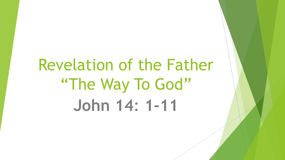# Revelation of the Father "The Way To God" **John 14**: **1-11**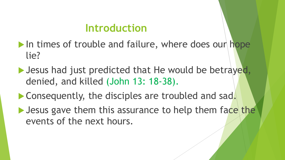## **Introduction**

- $\blacktriangleright$  In times of trouble and failure, where does our hope lie?
- $\blacktriangleright$  Jesus had just predicted that He would be betrayed, denied, and killed (John 13: 18-38).
- $\blacktriangleright$  Consequently, the disciples are troubled and sad.
- $\blacktriangleright$  Jesus gave them this assurance to help them face the events of the next hours.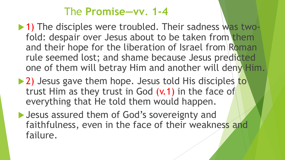## The **Promise—vv**. **1-4**

- $\blacktriangleright$  1) The disciples were troubled. Their sadness was twofold: despair over Jesus about to be taken from them and their hope for the liberation of Israel from Roman rule seemed lost; and shame because Jesus predicted one of them will betray Him and another will deny Him.
- 2) Jesus gave them hope. Jesus told His disciples to trust Him as they trust in God (v.1) in the face of everything that He told them would happen.
- ▶ Jesus assured them of God's sovereignty and faithfulness, even in the face of their weakness and failure.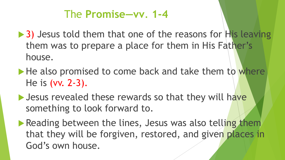## The **Promise—vv**. **1-4**

- $\triangleright$  3) Jesus told them that one of the reasons for His leaving them was to prepare a place for them in His Father's house.
- $\blacktriangleright$  He also promised to come back and take them to where He is (vv. 2-3).
- $\blacktriangleright$  Jesus revealed these rewards so that they will have something to look forward to.
- $\blacktriangleright$  Reading between the lines, Jesus was also telling them that they will be forgiven, restored, and given places in God's own house.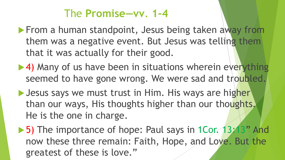## The **Promise—vv**. **1-4**

- $\blacktriangleright$  From a human standpoint, Jesus being taken away from them was a negative event. But Jesus was telling them that it was actually for their good.
- $\blacktriangleright$  4) Many of us have been in situations wherein everything seemed to have gone wrong. We were sad and troubled.
- Desus says we must trust in Him. His ways are higher than our ways, His thoughts higher than our thoughts. He is the one in charge.
- ▶ 5) The importance of hope: Paul says in 1Cor. 13:13" And now these three remain: Faith, Hope, and Love. But the greatest of these is love."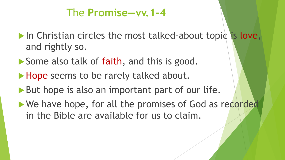## The **Promise—vv.1-4**

- $\blacktriangleright$  In Christian circles the most talked-about topic is love, and rightly so.
- Some also talk of faith, and this is good.
- Hope seems to be rarely talked about.
- $\blacktriangleright$  But hope is also an important part of our life.
- We have hope, for all the promises of God as recorded in the Bible are available for us to claim.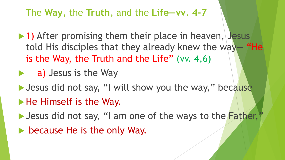#### The **Way**, the **Truth**, and the **Life—vv**. **4-7**

- $\blacktriangleright$  1) After promising them their place in heaven, Jesus told His disciples that they already knew the way— "He is the Way, the Truth and the Life" (vv.  $4,6$ )
- $\blacktriangleright$  a) Jesus is the Way
- I Jesus did not say, "I will show you the way," because  $\blacktriangleright$  He Himself is the Way.
- I Jesus did not say, "I am one of the ways to the Father,"
- $\triangleright$  because He is the only Way.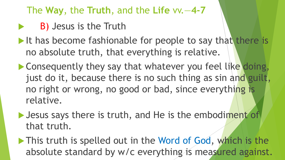### The **Way**, the **Truth**, and the **Life** vv.—**4-7**

- B) Jesus is the Truth
- $\blacktriangleright$  It has become fashionable for people to say that there is no absolute truth, that everything is relative.
- **Consequently they say that whatever you feel like doing,** just do it, because there is no such thing as sin and guilt, no right or wrong, no good or bad, since everything is relative.
- $\blacktriangleright$  Jesus says there is truth, and He is the embodiment of that truth.
- $\blacktriangleright$  This truth is spelled out in the Word of God, which is the absolute standard by w/c everything is measured against.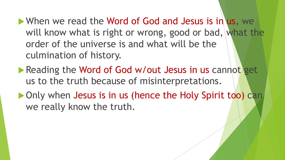$\blacktriangleright$  When we read the Word of God and Jesus is in us, we will know what is right or wrong, good or bad, what the order of the universe is and what will be the culmination of history.

- Reading the Word of God w/out Jesus in us cannot get us to the truth because of misinterpretations.
- $\triangleright$  Only when Jesus is in us (hence the Holy Spirit too) can we really know the truth.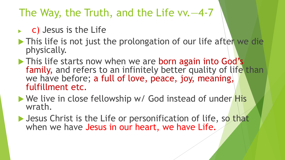## The Way, the Truth, and the Life vv.—4-7

- c) Jesus is the Life
- $\triangleright$  This life is not just the prolongation of our life after we die physically.
- In This life starts now when we are born again into God's family, and refers to an infinitely better quality of life than we have before; a full of love, peace, joy, meaning, fulfillment etc.
- $\blacktriangleright$  We live in close fellowship w/ God instead of under His wrath.
- $\blacktriangleright$  Jesus Christ is the Life or personification of life, so that when we have Jesus in our heart, we have Life.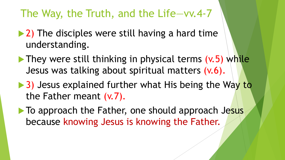## The Way, the Truth, and the Life—vv.4-7

- $\blacktriangleright$  2) The disciples were still having a hard time understanding.
- $\blacktriangleright$  They were still thinking in physical terms (v.5) while Jesus was talking about spiritual matters (v.6).
- $\triangleright$  3) Jesus explained further what His being the Way to the Father meant (v.7).
- $\blacktriangleright$  To approach the Father, one should approach Jesus because knowing Jesus is knowing the Father.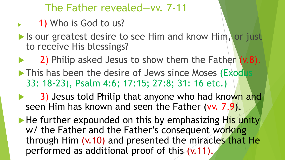## The Father revealed—vv. 7-11

- 1) Who is God to us?
- $\blacktriangleright$  Is our greatest desire to see Him and know Him, or just to receive His blessings?
- 2) Philip asked Jesus to show them the Father  $(v.8)$ .
- This has been the desire of Jews since Moses (Exodus 33: 18-23), Psalm 4:6; 17:15; 27:8; 31: 16 etc.)
- 3) Jesus told Philip that anyone who had known and seen Him has known and seen the Father (vv. 7,9).
- $\blacktriangleright$  He further expounded on this by emphasizing His unity w/ the Father and the Father's consequent working through Him (v.10) and presented the miracles that He performed as additional proof of this (v.11).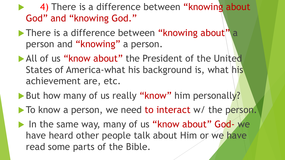4) There is a difference between "knowing about God" and "knowing God."

- $\blacktriangleright$  There is a difference between "knowing about" a person and "knowing" a person.
- All of us "know about" the President of the United States of America-what his background is, what his achievement are, etc.
- But how many of us really "know" him personally?
- $\blacktriangleright$  To know a person, we need to interact w/ the person.
- In the same way, many of us "know about" God- we have heard other people talk about Him or we have read some parts of the Bible.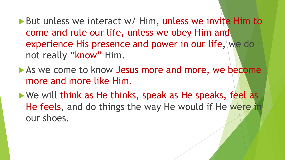▶ But unless we interact w/ Him, unless we invite Him to come and rule our life, unless we obey Him and experience His presence and power in our life, we do not really "know" Him.

- As we come to know Jesus more and more, we become more and more like Him.
- $\blacktriangleright$  We will think as He thinks, speak as He speaks, feel as He feels, and do things the way He would if He were in our shoes.